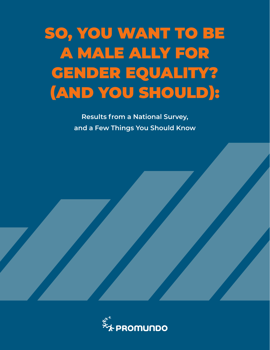# SO, YOU WANT TO BE A MALE ALLY FOR GENDER EQUALITY? (AND YOU SHOULD):

**Results from a National Survey, and a Few Things You Should Know**

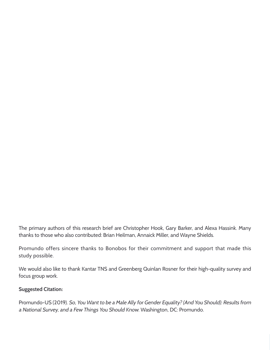The primary authors of this research brief are Christopher Hook, Gary Barker, and Alexa Hassink. Many thanks to those who also contributed: Brian Heilman, Annaick Miller, and Wayne Shields.

Promundo offers sincere thanks to Bonobos for their commitment and support that made this study possible.

We would also like to thank Kantar TNS and Greenberg Quinlan Rosner for their high-quality survey and focus group work.

#### **Suggested Citation:**

Promundo-US (2019). So, You Want to be a Male Ally for Gender Equality? (And You Should): Results from a National Survey, and a Few Things You Should Know. Washington, DC: Promundo.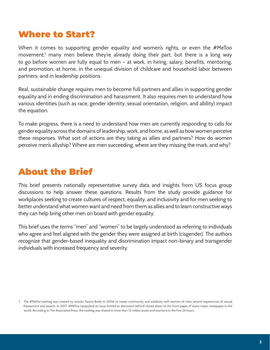# Where to Start?

When it comes to supporting gender equality and women's rights, or even the #MeToo movement,<sup>1</sup> many men believe they're already doing their part, but there is a long way to go before women are fully equal to men – at work, in hiring, salary, benefits, mentoring, and promotion; at home, in the unequal division of childcare and household labor between partners; and in leadership positions.

Real, sustainable change requires men to become full partners and allies in supporting gender equality and in ending discrimination and harassment. It also requires men to understand how various identities (such as race, gender identity, sexual orientation, religion, and ability) impact the equation.

To make progress, there is a need to understand how men are currently responding to calls for gender equality across the domains of leadership, work, and home, as well as how women perceive these responses. What sort of actions are they taking as allies and partners? How do women perceive men's allyship? Where are men succeeding, where are they missing the mark, and why?

# About the Brief

This brief presents nationally representative survey data and insights from US focus group discussions to help answer these questions. Results from the study provide guidance for workplaces seeking to create cultures of respect, equality, and inclusivity and for men seeking to better understand what women want and need from them as allies and to learn constructive ways they can help bring other men on board with gender equality.

This brief uses the terms "men" and "women" to be largely understood as referring to individuals who agree and feel aligned with the gender they were assigned at birth (cisgender). The authors recognize that gender-based inequality and discrimination impact non-binary and transgender individuals with increased frequency and severity.

<sup>1.</sup> The #MeToo hashtag was created by activist Tarana Burke in 2006 to create community and solidarity with women of color around experiences of sexual harassment and assault. In 2017, #MeToo catapulted an issue limited to discussion behind closed doors to the front pages of every major newspaper in the world. According to The Associated Press, the hashtag was shared in more than 12 million posts and reactions in the first 24 hours.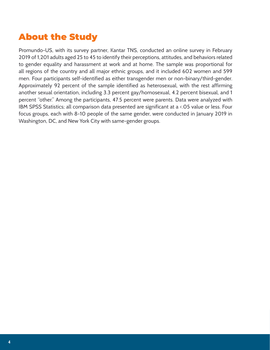# About the Study

Promundo-US, with its survey partner, Kantar TNS, conducted an online survey in February 2019 of 1,201 adults aged 25 to 45 to identify their perceptions, attitudes, and behaviors related to gender equality and harassment at work and at home. The sample was proportional for all regions of the country and all major ethnic groups, and it included 602 women and 599 men. Four participants self-identified as either transgender men or non-binary/third-gender. Approximately 92 percent of the sample identified as heterosexual, with the rest affirming another sexual orientation, including 3.3 percent gay/homosexual, 4.2 percent bisexual, and 1 percent "other." Among the participants, 47.5 percent were parents. Data were analyzed with IBM SPSS Statistics; all comparison data presented are significant at a <.05 value or less. Four focus groups, each with 8-10 people of the same gender, were conducted in January 2019 in Washington, DC, and New York City with same-gender groups.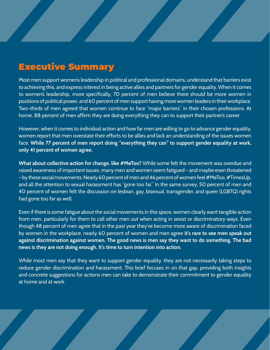# Executive Summary

Most men support women's leadership in political and professional domains, understand that barriers exist to achieving this, and express interest in being active allies and partners for gender equality. When it comes to women's leadership, more specifically, 70 percent of men believe there should be more women in positions of political power, and 60 percent of men support having more women leaders in their workplace. Two-thirds of men agreed that women continue to face "major barriers" in their chosen professions. At home, 88 percent of men affirm they are doing everything they can to support their partner's career.

However, when it comes to individual action and how far men are willing to go to advance gender equality, women report that men overstate their efforts to be allies and lack an understanding of the issues women face. **While 77 percent of men report doing "everything they can" to support gender equality at work, only 41 percent of women agree.**

**What about collective action for change, like #MeToo?** While some felt the movement was overdue and raised awareness of important issues, many men and women seem fatigued – and maybe even threatened – by these social movements. Nearly 60 percent of men and 46 percent of women feel #MeToo, #TimesUp, and all the attention to sexual harassment has "gone too far." In the same survey, 50 percent of men and 40 percent of women felt the discussion on lesbian, gay, bisexual, transgender, and queer (LGBTQ) rights had gone too far as well.

Even if there is some fatigue about the social movements in this space, women clearly want tangible action from men, particularly for them to call other men out when acting in sexist or discriminatory ways. Even though 48 percent of men agree that in the past year they've become more aware of discrimination faced by women in the workplace, nearly 60 percent of women and men agree **it's rare to see men speak out against discrimination against women. The good news is men say they want to do something. The bad news is they are not doing enough. It's time to turn intention into action.**

While most men say that they want to support gender equality, they are not necessarily taking steps to reduce gender discrimination and harassment. This brief focuses in on that gap, providing both insights and concrete suggestions for actions men can take to demonstrate their commitment to gender equality at home and at work.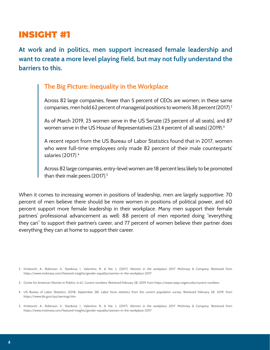**At work and in politics, men support increased female leadership and want to create a more level playing field, but may not fully understand the barriers to this.**

### **The Big Picture: Inequality in the Workplace**

Across 82 large companies, fewer than 5 percent of CEOs are women; in these same companies, men hold 62 percent of managerial positions to women's 38 percent (2017).<sup>2</sup>

As of March 2019, 25 women serve in the US Senate (25 percent of all seats), and 87 women serve in the US House of Representatives (23.4 percent of all seats) (2019). $^3$ 

A recent report from the US Bureau of Labor Statistics found that in 2017, women who were full-time employees only made 82 percent of their male counterparts' salaries (2017).4

Across 82 large companies, entry-level women are 18 percent less likely to be promoted than their male peers (2017).<sup>5</sup>

When it comes to increasing women in positions of leadership, men are largely supportive: 70 percent of men believe there should be more women in positions of political power, and 60 percent support more female leadership in their workplace. Many men support their female partners' professional advancement as well: 88 percent of men reported doing "everything they can" to support their partner's career, and 77 percent of women believe their partner does everything they can at home to support their career.

<sup>2.</sup> Krivkovich, A., Robinson, K., Starikova, I., Valentino, R., & Yee, L. (2017). Women in the workplace 2017. McKinsey & Company. Retrieved from <https://www.mckinsey.com/featured-insights/gender-equality/women-in-the-workplace-2017>

<sup>3.</sup> Center for American Women in Politics. (n.d.). Current numbers. Retrieved February 28, 2019, from <https://www.cawp.rutgers.edu/current-numbers>

<sup>4.</sup> US Bureau of Labor Statistics. (2018, September 28). Labor force statistics from the current population survey. Retrieved February 28, 2019, from <https://www.bls.gov/cps/earnings.htm>

<sup>5.</sup> Krivkovich, A., Robinson, K., Starikova, I., Valentino, R., & Yee, L. (2017). Women in the workplace 2017. McKinsey & Company. Retrieved from <https://www.mckinsey.com/featured-insights/gender-equality/women-in-the-workplace-2017>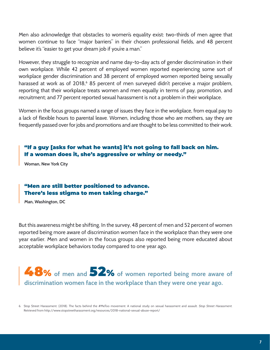Men also acknowledge that obstacles to women's equality exist: two-thirds of men agree that women continue to face "major barriers" in their chosen professional fields, and 48 percent believe it's "easier to get your dream job if you're a man."

However, they struggle to recognize and name day-to-day acts of gender discrimination in their own workplace. While 42 percent of employed women reported experiencing some sort of workplace gender discrimination and 38 percent of employed women reported being sexually harassed at work as of 2018,<sup>6</sup> 85 percent of men surveyed didn't perceive a major problem, reporting that their workplace treats women and men equally in terms of pay, promotion, and recruitment; and 77 percent reported sexual harassment is not a problem in their workplace.

Women in the focus groups named a range of issues they face in the workplace, from equal pay to a lack of flexible hours to parental leave. Women, including those who are mothers, say they are frequently passed over for jobs and promotions and are thought to be less committed to their work.

#### "If a guy [asks for what he wants] it's not going to fall back on him. If a woman does it, she's aggressive or whiny or needy."

**Woman, New York City**

#### "Men are still better positioned to advance. There's less stigma to men taking charge."

**Man, Washington, DC**

But this awareness might be shifting. In the survey, 48 percent of men and 52 percent of women reported being more aware of discrimination women face in the workplace than they were one year earlier. Men and women in the focus groups also reported being more educated about acceptable workplace behaviors today compared to one year ago.

# 48% **of men and** 52% **of women reported being more aware of discrimination women face in the workplace than they were one year ago.**

<sup>6.</sup> Stop Street Harassment. (2018). The facts behind the #MeToo movement: A national study on sexual harassment and assault. Stop Street Harassment. Retrieved from <http://www.stopstreetharassment.org/resources/2018-national-sexual-abuse-report/>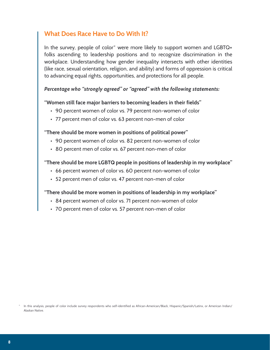### **What Does Race Have to Do With It?**

In the survey, people of color<sup>\*</sup> were more likely to support women and LGBTQ+ folks ascending to leadership positions and to recognize discrimination in the workplace. Understanding how gender inequality intersects with other identities (like race, sexual orientation, religion, and ability) and forms of oppression is critical to advancing equal rights, opportunities, and protections for all people.

#### *Percentage who "strongly agreed" or "agreed" with the following statements:*

#### **"Women still face major barriers to becoming leaders in their fields"**

- 90 percent women of color vs. 79 percent non-women of color
- 77 percent men of color vs. 63 percent non-men of color

#### **"There should be more women in positions of political power"**

- 90 percent women of color vs. 82 percent non-women of color
- 80 percent men of color vs. 67 percent non-men of color

#### **"There should be more LGBTQ people in positions of leadership in my workplace"**

- 66 percent women of color vs. 60 percent non-women of color
- 52 percent men of color vs. 47 percent non-men of color

#### **"There should be more women in positions of leadership in my workplace"**

- 84 percent women of color vs. 71 percent non-women of color
- 70 percent men of color vs. 57 percent non-men of color

In this analysis, people of color include survey respondents who self-identified as African-American/Black, Hispanic/Spanish/Latinx, or American Indian/ Alaskan Native.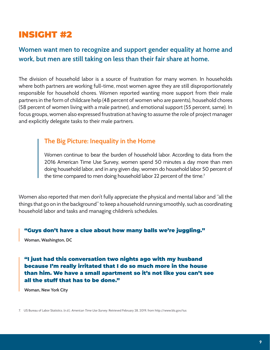## **Women want men to recognize and support gender equality at home and work, but men are still taking on less than their fair share at home.**

The division of household labor is a source of frustration for many women. In households where both partners are working full-time, most women agree they are still disproportionately responsible for household chores. Women reported wanting more support from their male partners in the form of childcare help (48 percent of women who are parents), household chores (58 percent of women living with a male partner), and emotional support (55 percent, same). In focus groups, women also expressed frustration at having to assume the role of project manager and explicitly delegate tasks to their male partners.

#### **The Big Picture: Inequality in the Home**

Women continue to bear the burden of household labor. According to data from the 2016 American Time Use Survey, women spend 50 minutes a day more than men doing household labor, and in any given day, women do household labor 50 percent of the time compared to men doing household labor 22 percent of the time.<sup>7</sup>

Women also reported that men don't fully appreciate the physical and mental labor and "all the things that go on in the background" to keep a household running smoothly, such as coordinating household labor and tasks and managing children's schedules.

#### "Guys don't have a clue about how many balls we're juggling."

**Woman, Washington, DC**

"I just had this conversation two nights ago with my husband because I'm really irritated that I do so much more in the house than him. We have a small apartment so it's not like you can't see all the stuff that has to be done."

**Woman, New York City**

7. US Bureau of Labor Statistics. (n.d.). American Time Use Survey. Retrieved February 28, 2019, from [http://www.bls.gov/tus](https://www.bls.gov/tus/)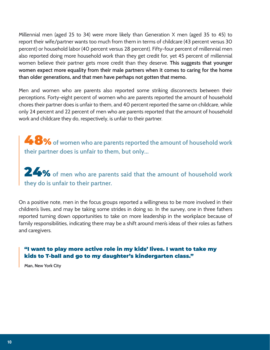Millennial men (aged 25 to 34) were more likely than Generation X men (aged 35 to 45) to report their wife/partner wants too much from them in terms of childcare (43 percent versus 30 percent) or household labor (40 percent versus 28 percent). Fifty-four percent of millennial men also reported doing more household work than they get credit for, yet 45 percent of millennial women believe their partner gets more credit than they deserve. **This suggests that younger women expect more equality from their male partners when it comes to caring for the home than older generations, and that men have perhaps not gotten that memo.**

Men and women who are parents also reported some striking disconnects between their perceptions. Forty-eight percent of women who are parents reported the amount of household chores their partner does is unfair to them, and 40 percent reported the same on childcare, while only 24 percent and 22 percent of men who are parents reported that the amount of household work and childcare they do, respectively, is unfair to their partner.

48% **of women who are parents reported the amount of household work their partner does is unfair to them, but only...**

24% **of men who are parents said that the amount of household work they do is unfair to their partner.**

On a positive note, men in the focus groups reported a willingness to be more involved in their children's lives, and may be taking some strides in doing so. In the survey, one in three fathers reported turning down opportunities to take on more leadership in the workplace because of family responsibilities, indicating there may be a shift around men's ideas of their roles as fathers and caregivers.

#### "I want to play more active role in my kids' lives. I want to take my kids to T-ball and go to my daughter's kindergarten class."

**Man, New York City**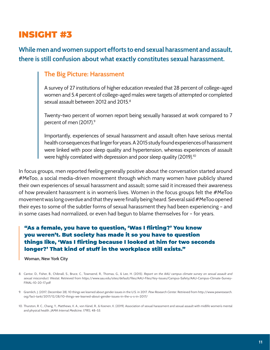## **While men and women support efforts to end sexual harassment and assault, there is still confusion about what exactly constitutes sexual harassment.**

#### **The Big Picture: Harassment**

A survey of 27 institutions of higher education revealed that 28 percent of college-aged women and 5.4 percent of college-aged males were targets of attempted or completed sexual assault between 2012 and 2015.<sup>8</sup>

Twenty-two percent of women report being sexually harassed at work compared to 7 percent of men (2017).<sup>9</sup>

Importantly, experiences of sexual harassment and assault often have serious mental health consequences that linger for years. A 2015 study found experiences of harassment were linked with poor sleep quality and hypertension, whereas experiences of assault were highly correlated with depression and poor sleep quality (2019).<sup>10</sup>

In focus groups, men reported feeling generally positive about the conversation started around #MeToo, a social media-driven movement through which many women have publicly shared their own experiences of sexual harassment and assault; some said it increased their awareness of how prevalent harassment is in women's lives. Women in the focus groups felt the #MeToo movement was long overdue and that they were finally being heard. Several said #MeToo opened their eyes to some of the subtler forms of sexual harassment they had been experiencing – and in some cases had normalized, or even had begun to blame themselves for – for years.

#### "As a female, you have to question, 'Was I flirting?' You know you weren't. But society has made it so you have to question things like, 'Was I flirting because I looked at him for two seconds longer?' That kind of stuff in the workplace still exists."

**Woman, New York City**

- 8. Cantor, D., Fisher, B., Chibnall, S., Bruce, C., Townsend, R., Thomas, G., & Lee, H. (2015). Report on the AAU campus climate survey on sexual assault and sexual misconduct. Westat. Retrieved from [https://www.aau.edu/sites/default/files/AAU-Files/Key-Issues/Campus-Safety/AAU-Campus-Climate-Survey-](https://www.aau.edu/sites/default/files/AAU-Files/Key-Issues/Campus-Safety/AAU-Campus-Climate-Survey-FINAL-10-20-17.pdf)[FINAL-10-20-17.pdf](https://www.aau.edu/sites/default/files/AAU-Files/Key-Issues/Campus-Safety/AAU-Campus-Climate-Survey-FINAL-10-20-17.pdf)
- 9. Gramlich, J. (2017, December 28). 10 things we learned about gender issues in the U.S. in 2017. Pew Research Center. Retrieved from [http://www.pewresearch.](http://www.pewresearch.org/fact-tank/2017/12/28/10-things-we-learned-about-gender-issues-in-the-u-s-in-2017/) [org/fact-tank/2017/12/28/10-things-we-learned-about-gender-issues-in-the-u-s-in-2017/](http://www.pewresearch.org/fact-tank/2017/12/28/10-things-we-learned-about-gender-issues-in-the-u-s-in-2017/)
- 10. Thurston, R. C., Chang, Y., Matthews, K. A., von Känel, R., & Koenen, K. (2019). Association of sexual harassment and sexual assault with midlife women's mental and physical health. JAMA Internal Medicine, 179(1), 48–53.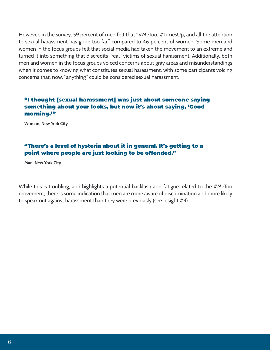However, in the survey, 59 percent of men felt that "#MeToo, #TimesUp, and all the attention to sexual harassment has gone too far," compared to 46 percent of women. Some men and women in the focus groups felt that social media had taken the movement to an extreme and turned it into something that discredits "real" victims of sexual harassment. Additionally, both men and women in the focus groups voiced concerns about gray areas and misunderstandings when it comes to knowing what constitutes sexual harassment, with some participants voicing concerns that, now, "anything" could be considered sexual harassment.

#### "I thought [sexual harassment] was just about someone saying something about your looks, but now it's about saying, 'Good morning.'"

**Woman, New York City**

#### "There's a level of hysteria about it in general. It's getting to a point where people are just looking to be offended."

**Man, New York City**

While this is troubling, and highlights a potential backlash and fatigue related to the #MeToo movement, there is some indication that men are more aware of discrimination and more likely to speak out against harassment than they were previously (see Insight #4).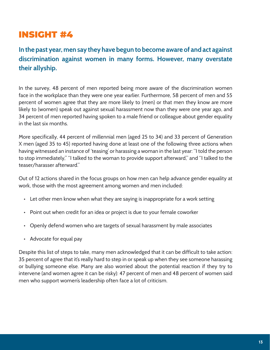**In the past year, men say they have begun to become aware of and act against discrimination against women in many forms. However, many overstate their allyship.** 

In the survey, 48 percent of men reported being more aware of the discrimination women face in the workplace than they were one year earlier. Furthermore, 58 percent of men and 55 percent of women agree that they are more likely to (men) or that men they know are more likely to (women) speak out against sexual harassment now than they were one year ago, and 34 percent of men reported having spoken to a male friend or colleague about gender equality in the last six months.

More specifically, 44 percent of millennial men (aged 25 to 34) and 33 percent of Generation X men (aged 35 to 45) reported having done at least one of the following three actions when having witnessed an instance of 'teasing' or harassing a woman in the last year: "I told the person to stop immediately," "I talked to the woman to provide support afterward," and "I talked to the teaser/harasser afterward."

Out of 12 actions shared in the focus groups on how men can help advance gender equality at work, those with the most agreement among women and men included:

- Let other men know when what they are saying is inappropriate for a work setting
- Point out when credit for an idea or project is due to your female coworker
- Openly defend women who are targets of sexual harassment by male associates
- Advocate for equal pay

Despite this list of steps to take, many men acknowledged that it can be difficult to take action: 35 percent of agree that it's really hard to step in or speak up when they see someone harassing or bullying someone else. Many are also worried about the potential reaction if they try to intervene (and women agree it can be risky): 47 percent of men and 48 percent of women said men who support women's leadership often face a lot of criticism.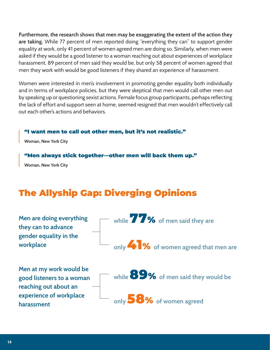**Furthermore, the research shows that men may be exaggerating the extent of the action they are taking.** While 77 percent of men reported doing "everything they can" to support gender equality at work, only 41 percent of women agreed men are doing so. Similarly, when men were asked if they would be a good listener to a woman reaching out about experiences of workplace harassment, 89 percent of men said they would be, but only 58 percent of women agreed that men they work with would be good listeners if they shared an experience of harassment.

Women were interested in men's involvement in promoting gender equality both individually and in terms of workplace policies, but they were skeptical that men would call other men out by speaking up or questioning sexist actions. Female focus group participants, perhaps reflecting the lack of effort and support seen at home, seemed resigned that men wouldn't effectively call out each other's actions and behaviors.

#### "I want men to call out other men, but it's not realistic."

**Woman, New York City**

#### "Men always stick together—other men will back them up."

**Woman, New York City**

# The Allyship Gap: Diverging Opinions

| Men are doing everything<br>they can to advance<br>gender equality in the<br>workplace | while $\overline{\mathbf{Z}}$ $\mathbf{Z}$ $\bullet$ of men said they are |
|----------------------------------------------------------------------------------------|---------------------------------------------------------------------------|
|                                                                                        | only <b>4 3</b> % of women agreed that men are                            |
| Men at my work would be<br>good listeners to a woman<br>reaching out about an          | while 89% of men said they would be                                       |
| experience of workplace<br>harassment                                                  | only 58% of women agreed                                                  |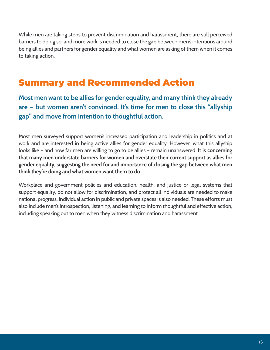While men are taking steps to prevent discrimination and harassment, there are still perceived barriers to doing so, and more work is needed to close the gap between men's intentions around being allies and partners for gender equality and what women are asking of them when it comes to taking action.

# Summary and Recommended Action

**Most men want to be allies for gender equality, and many think they already are — but women aren't convinced. It's time for men to close this "allyship gap" and move from intention to thoughtful action.**

Most men surveyed support women's increased participation and leadership in politics and at work and are interested in being active allies for gender equality. However, what this allyship looks like – and how far men are willing to go to be allies – remain unanswered. **It is concerning that many men understate barriers for women and overstate their current support as allies for gender equality, suggesting the need for and importance of closing the gap between what men think they're doing and what women want them to do.**

Workplace and government policies and education, health, and justice or legal systems that support equality, do not allow for discrimination, and protect all individuals are needed to make national progress. Individual action in public and private spaces is also needed. These efforts must also include men's introspection, listening, and learning to inform thoughtful and effective action, including speaking out to men when they witness discrimination and harassment.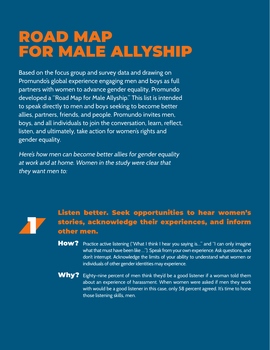# ROAD MAP FOR MALE ALLYSHIP

Based on the focus group and survey data and drawing on Promundo's global experience engaging men and boys as full partners with women to advance gender equality, Promundo developed a "Road Map for Male Allyship." This list is intended to speak directly to men and boys seeking to become better allies, partners, friends, and people. Promundo invites men, boys, and all individuals to join the conversation, learn, reflect, listen, and ultimately, take action for women's rights and gender equality.

Here's how men can become better allies for gender equality at work and at home. Women in the study were clear that they want men to:



# Listen better. Seek opportunities to hear women's stories, acknowledge their experiences, and inform other men.

- How? Practice active listening ("What I think I hear you saying is..." and "I can only imagine what that must have been like …"). Speak from your own experience. Ask questions, and don't interrupt. Acknowledge the limits of your ability to understand what women or individuals of other gender identities may experience.
- Why? Eighty-nine percent of men think they'd be a good listener if a woman told them about an experience of harassment. When women were asked if men they work with would be a good listener in this case, only 58 percent agreed. It's time to hone those listening skills, men.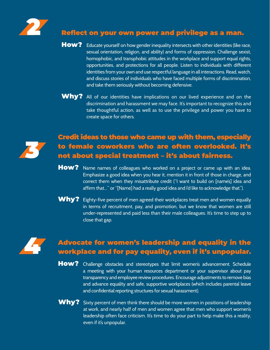

# Reflect on your own power and privilege as a man.

- How? Educate yourself on how gender inequality intersects with other identities (like race, sexual orientation, religion, and ability) and forms of oppression. Challenge sexist, homophobic, and transphobic attitudes in the workplace and support equal rights, opportunities, and protections for all people. Listen to individuals with different identities from your own and use respectful language in all interactions. Read, watch, and discuss stories of individuals who have faced multiple forms of discrimination, and take them seriously without becoming defensive.
- Why? All of our identities have implications on our lived experience and on the discrimination and harassment we may face. It's important to recognize this and take thoughtful action, as well as to use the privilege and power you have to create space for others.



## Credit ideas to those who came up with them, especially to female coworkers who are often overlooked. It's not about special treatment – it's about fairness.

- How? Name names of colleagues who worked on a project or came up with an idea. Emphasize a good idea when you hear it, mention it in front of those in charge, and correct them when they misattribute credit ("I want to build on [name's] idea and affirm that…" or "[Name] had a really good idea and I'd like to acknowledge that.").
- Why? Eighty-five percent of men agreed their workplaces treat men and women equally in terms of recruitment, pay, and promotion, but we know that women are still under-represented and paid less than their male colleagues. It's time to step up to close that gap.



# **4 Advocate for women's leadership and equality in the workplace and for pay equality, even if it's unpopular.**

- How? Challenge obstacles and stereotypes that limit women's advancement. Schedule a meeting with your human resources department or your supervisor about pay transparency and employee review procedures. Encourage adjustments to remove bias and advance equality and safe, supportive workplaces (which includes parental leave and confidential reporting structures for sexual harassment).
- Why? Sixty percent of men think there should be more women in positions of leadership at work, and nearly half of men and women agree that men who support women's leadership often face criticism. It's time to do your part to help make this a reality, even if it's unpopular.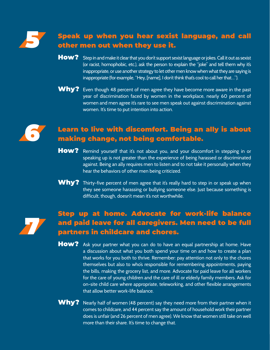

## 5 Speak up when you hear sexist language, and call other men out when they use it.

- How? Step in and make it clear that you don't support sexist language or jokes. Call it out as sexist (or racist, homophobic, etc.), ask the person to explain the "joke" and tell them why it's inappropriate, or use another strategy to let other men know when what they are saying is inappropriate (for example, "Hey, [name], I don't think that's cool to call her that…").
- Why? Even though 48 percent of men agree they have become more aware in the past year of discrimination faced by women in the workplace, nearly 60 percent of women and men agree it's rare to see men speak out against discrimination against women. It's time to put intention into action.



# Learn to live with discomfort. Being an ally is about making change, not being comfortable.

- How? Remind yourself that it's not about you, and your discomfort in stepping in or speaking up is not greater than the experience of being harassed or discriminated against. Being an ally requires men to listen and to not take it personally when they hear the behaviors of other men being criticized.
- Why? Thirty-five percent of men agree that it's really hard to step in or speak up when they see someone harassing or bullying someone else. Just because something is difficult, though, doesn't mean it's not worthwhile.



## Step up at home. Advocate for work-life balance and paid leave for all caregivers. Men need to be full partners in childcare and chores.

- How? Ask your partner what you can do to have an equal partnership at home. Have a discussion about what you both spend your time on and how to create a plan that works for you both to thrive. Remember: pay attention not only to the chores themselves but also to who's responsible for remembering appointments, paying the bills, making the grocery list, and more. Advocate for paid leave for all workers for the care of young children and the care of ill or elderly family members. Ask for on-site child care where appropriate, teleworking, and other flexible arrangements that allow better work-life balance.
- Why? Nearly half of women (48 percent) say they need more from their partner when it comes to childcare, and 44 percent say the amount of household work their partner does is unfair (and 26 percent of men agree). We know that women still take on well more than their share. It's time to change that.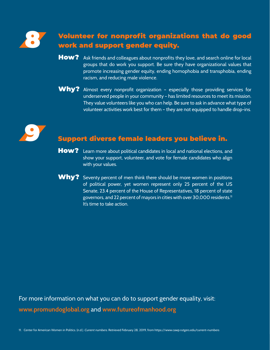

## 8 Volunteer for nonprofit organizations that do good work and support gender equity.

- How? Ask friends and colleagues about nonprofits they love, and search online for local groups that do work you support. Be sure they have organizational values that promote increasing gender equity, ending homophobia and transphobia, ending racism, and reducing male violence.
- Why? Almost every nonprofit organization especially those providing services for underserved people in your community – has limited resources to meet its mission. They value volunteers like you who can help. Be sure to ask in advance what type of volunteer activities work best for them – they are not equipped to handle drop-ins.



# Support diverse female leaders you believe in.

- How? Learn more about political candidates in local and national elections, and show your support, volunteer, and vote for female candidates who align with your values.
- $W$ hy? Seventy percent of men think there should be more women in positions of political power, yet women represent only 25 percent of the US Senate, 23.4 percent of the House of Representatives, 18 percent of state governors, and 22 percent of mayors in cities with over 30,000 residents.<sup>11</sup> It's time to take action.

For more information on what you can do to support gender equality, visit: **www.promundoglobal.org** and **www.futureofmanhood.org**